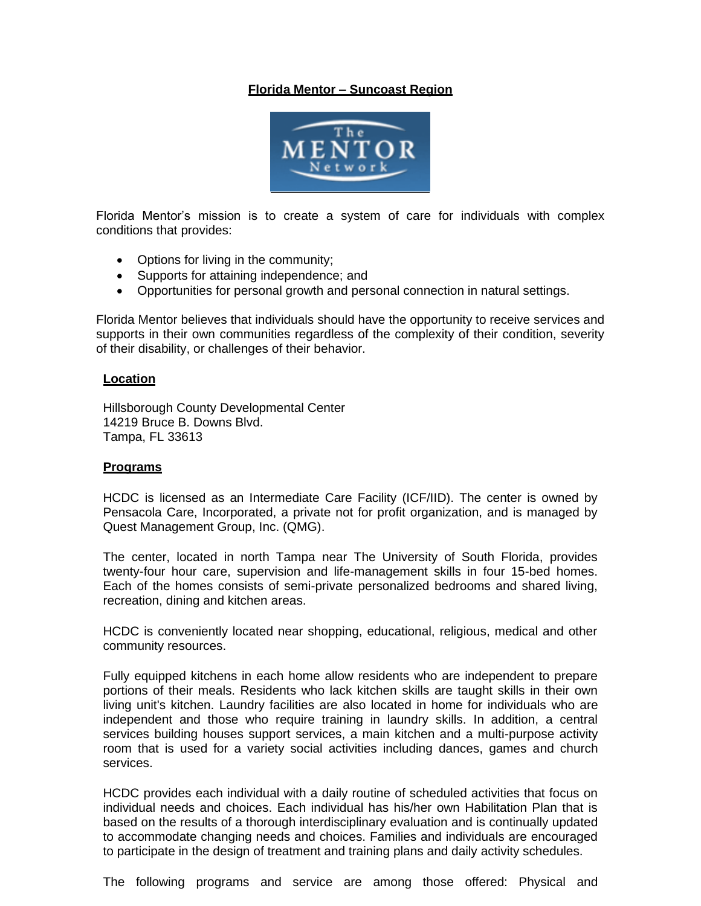# **Florida Mentor – Suncoast Region**



Florida Mentor's mission is to create a system of care for individuals with complex conditions that provides:

- Options for living in the community;
- Supports for attaining independence; and
- Opportunities for personal growth and personal connection in natural settings.

Florida Mentor believes that individuals should have the opportunity to receive services and supports in their own communities regardless of the complexity of their condition, severity of their disability, or challenges of their behavior.

#### **Location**

Hillsborough County Developmental Center 14219 Bruce B. Downs Blvd. Tampa, FL 33613

#### **Programs**

HCDC is licensed as an Intermediate Care Facility (ICF/IID). The center is owned by Pensacola Care, Incorporated, a private not for profit organization, and is managed by Quest Management Group, Inc. (QMG).

The center, located in north Tampa near The University of South Florida, provides twenty-four hour care, supervision and life-management skills in four 15-bed homes. Each of the homes consists of semi-private personalized bedrooms and shared living, recreation, dining and kitchen areas.

HCDC is conveniently located near shopping, educational, religious, medical and other community resources.

Fully equipped kitchens in each home allow residents who are independent to prepare portions of their meals. Residents who lack kitchen skills are taught skills in their own living unit's kitchen. Laundry facilities are also located in home for individuals who are independent and those who require training in laundry skills. In addition, a central services building houses support services, a main kitchen and a multi-purpose activity room that is used for a variety social activities including dances, games and church services.

HCDC provides each individual with a daily routine of scheduled activities that focus on individual needs and choices. Each individual has his/her own Habilitation Plan that is based on the results of a thorough interdisciplinary evaluation and is continually updated to accommodate changing needs and choices. Families and individuals are encouraged to participate in the design of treatment and training plans and daily activity schedules.